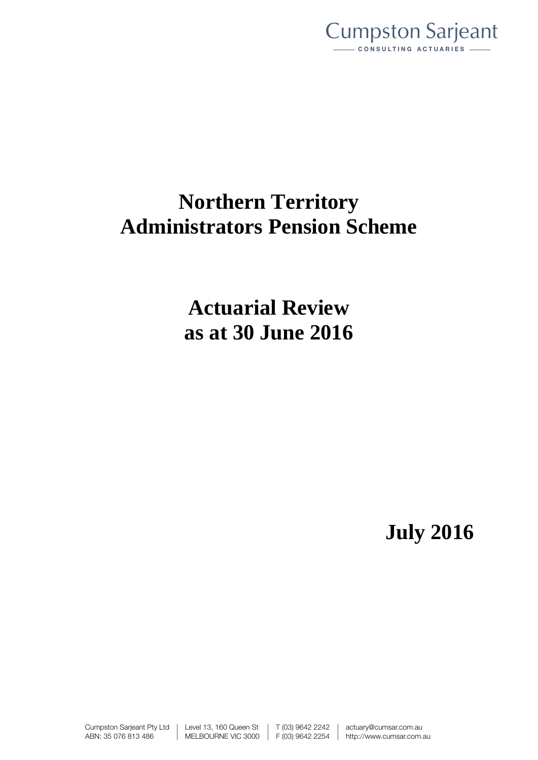

# **Northern Territory Administrators Pension Scheme**

**Actuarial Review as at 30 June 2016**

**July 2016**

Cumpston Sarjeant Pty Ltd ABN: 35 076 813 486

Level 13, 160 Queen St MELBOURNE VIC 3000 T (03) 9642 2242 F (03) 9642 2254 actuary@cumsar.com.au http://www.cumsar.com.au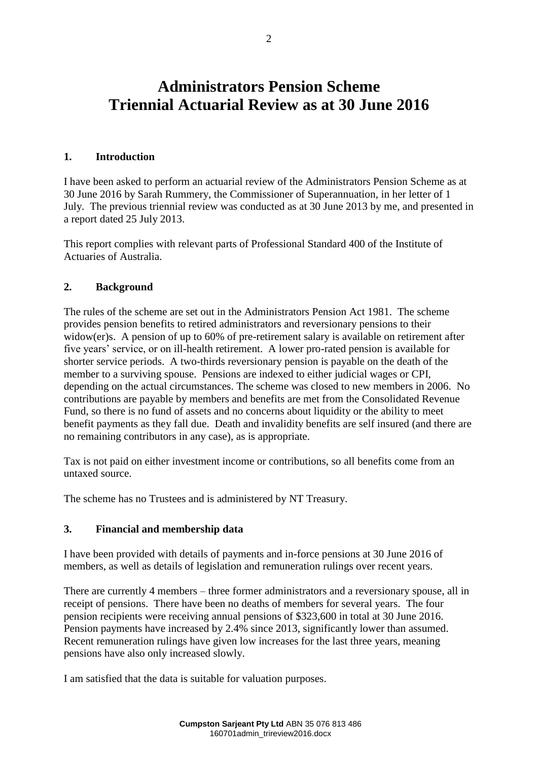# **Administrators Pension Scheme Triennial Actuarial Review as at 30 June 2016**

#### **1. Introduction**

I have been asked to perform an actuarial review of the Administrators Pension Scheme as at 30 June 2016 by Sarah Rummery, the Commissioner of Superannuation, in her letter of 1 July. The previous triennial review was conducted as at 30 June 2013 by me, and presented in a report dated 25 July 2013.

This report complies with relevant parts of Professional Standard 400 of the Institute of Actuaries of Australia.

# **2. Background**

The rules of the scheme are set out in the Administrators Pension Act 1981. The scheme provides pension benefits to retired administrators and reversionary pensions to their widow(er)s. A pension of up to 60% of pre-retirement salary is available on retirement after five years' service, or on ill-health retirement. A lower pro-rated pension is available for shorter service periods. A two-thirds reversionary pension is payable on the death of the member to a surviving spouse. Pensions are indexed to either judicial wages or CPI, depending on the actual circumstances. The scheme was closed to new members in 2006. No contributions are payable by members and benefits are met from the Consolidated Revenue Fund, so there is no fund of assets and no concerns about liquidity or the ability to meet benefit payments as they fall due. Death and invalidity benefits are self insured (and there are no remaining contributors in any case), as is appropriate.

Tax is not paid on either investment income or contributions, so all benefits come from an untaxed source.

The scheme has no Trustees and is administered by NT Treasury.

# **3. Financial and membership data**

I have been provided with details of payments and in-force pensions at 30 June 2016 of members, as well as details of legislation and remuneration rulings over recent years.

There are currently 4 members – three former administrators and a reversionary spouse, all in receipt of pensions. There have been no deaths of members for several years. The four pension recipients were receiving annual pensions of \$323,600 in total at 30 June 2016. Pension payments have increased by 2.4% since 2013, significantly lower than assumed. Recent remuneration rulings have given low increases for the last three years, meaning pensions have also only increased slowly.

I am satisfied that the data is suitable for valuation purposes.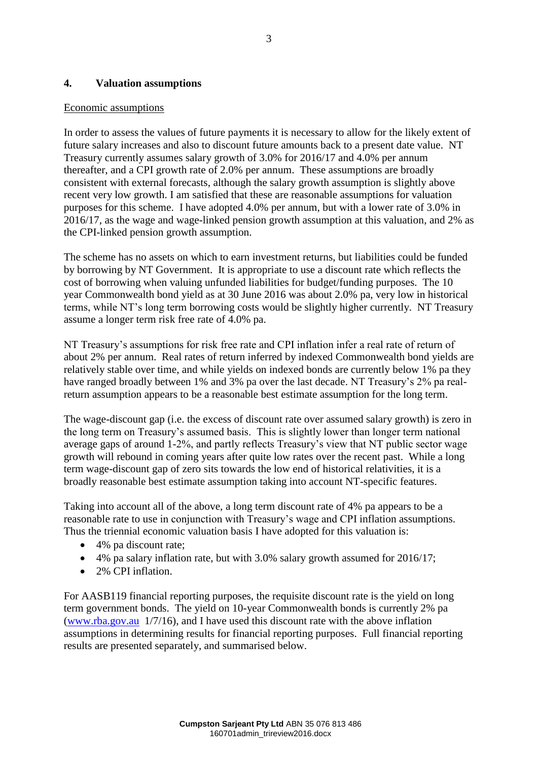# **4. Valuation assumptions**

#### Economic assumptions

In order to assess the values of future payments it is necessary to allow for the likely extent of future salary increases and also to discount future amounts back to a present date value. NT Treasury currently assumes salary growth of 3.0% for 2016/17 and 4.0% per annum thereafter, and a CPI growth rate of 2.0% per annum. These assumptions are broadly consistent with external forecasts, although the salary growth assumption is slightly above recent very low growth. I am satisfied that these are reasonable assumptions for valuation purposes for this scheme. I have adopted 4.0% per annum, but with a lower rate of 3.0% in 2016/17, as the wage and wage-linked pension growth assumption at this valuation, and 2% as the CPI-linked pension growth assumption.

The scheme has no assets on which to earn investment returns, but liabilities could be funded by borrowing by NT Government. It is appropriate to use a discount rate which reflects the cost of borrowing when valuing unfunded liabilities for budget/funding purposes. The 10 year Commonwealth bond yield as at 30 June 2016 was about 2.0% pa, very low in historical terms, while NT's long term borrowing costs would be slightly higher currently. NT Treasury assume a longer term risk free rate of 4.0% pa.

NT Treasury's assumptions for risk free rate and CPI inflation infer a real rate of return of about 2% per annum. Real rates of return inferred by indexed Commonwealth bond yields are relatively stable over time, and while yields on indexed bonds are currently below 1% pa they have ranged broadly between 1% and 3% pa over the last decade. NT Treasury's 2% pa realreturn assumption appears to be a reasonable best estimate assumption for the long term.

The wage-discount gap (i.e. the excess of discount rate over assumed salary growth) is zero in the long term on Treasury's assumed basis. This is slightly lower than longer term national average gaps of around 1-2%, and partly reflects Treasury's view that NT public sector wage growth will rebound in coming years after quite low rates over the recent past. While a long term wage-discount gap of zero sits towards the low end of historical relativities, it is a broadly reasonable best estimate assumption taking into account NT-specific features.

Taking into account all of the above, a long term discount rate of 4% pa appears to be a reasonable rate to use in conjunction with Treasury's wage and CPI inflation assumptions. Thus the triennial economic valuation basis I have adopted for this valuation is:

- 4% pa discount rate;
- 4% pa salary inflation rate, but with 3.0% salary growth assumed for 2016/17;
- 2% CPI inflation

For AASB119 financial reporting purposes, the requisite discount rate is the yield on long term government bonds. The yield on 10-year Commonwealth bonds is currently 2% pa [\(www.rba.gov.au](http://www.rba.gov.au/) 1/7/16), and I have used this discount rate with the above inflation assumptions in determining results for financial reporting purposes. Full financial reporting results are presented separately, and summarised below.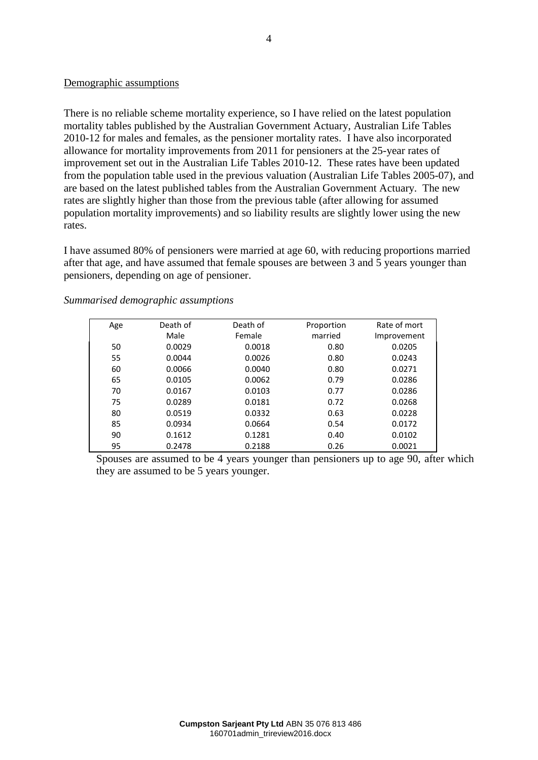#### Demographic assumptions

There is no reliable scheme mortality experience, so I have relied on the latest population mortality tables published by the Australian Government Actuary, Australian Life Tables 2010-12 for males and females, as the pensioner mortality rates. I have also incorporated allowance for mortality improvements from 2011 for pensioners at the 25-year rates of improvement set out in the Australian Life Tables 2010-12. These rates have been updated from the population table used in the previous valuation (Australian Life Tables 2005-07), and are based on the latest published tables from the Australian Government Actuary. The new rates are slightly higher than those from the previous table (after allowing for assumed population mortality improvements) and so liability results are slightly lower using the new rates.

I have assumed 80% of pensioners were married at age 60, with reducing proportions married after that age, and have assumed that female spouses are between 3 and 5 years younger than pensioners, depending on age of pensioner.

| Age | Death of | Death of | Proportion | Rate of mort |
|-----|----------|----------|------------|--------------|
|     | Male     | Female   | married    | Improvement  |
| 50  | 0.0029   | 0.0018   | 0.80       | 0.0205       |
| 55  | 0.0044   | 0.0026   | 0.80       | 0.0243       |
| 60  | 0.0066   | 0.0040   | 0.80       | 0.0271       |
| 65  | 0.0105   | 0.0062   | 0.79       | 0.0286       |
| 70  | 0.0167   | 0.0103   | 0.77       | 0.0286       |
| 75  | 0.0289   | 0.0181   | 0.72       | 0.0268       |
| 80  | 0.0519   | 0.0332   | 0.63       | 0.0228       |
| 85  | 0.0934   | 0.0664   | 0.54       | 0.0172       |
| 90  | 0.1612   | 0.1281   | 0.40       | 0.0102       |
| 95  | 0.2478   | 0.2188   | 0.26       | 0.0021       |

#### *Summarised demographic assumptions*

Spouses are assumed to be 4 years younger than pensioners up to age 90, after which they are assumed to be 5 years younger.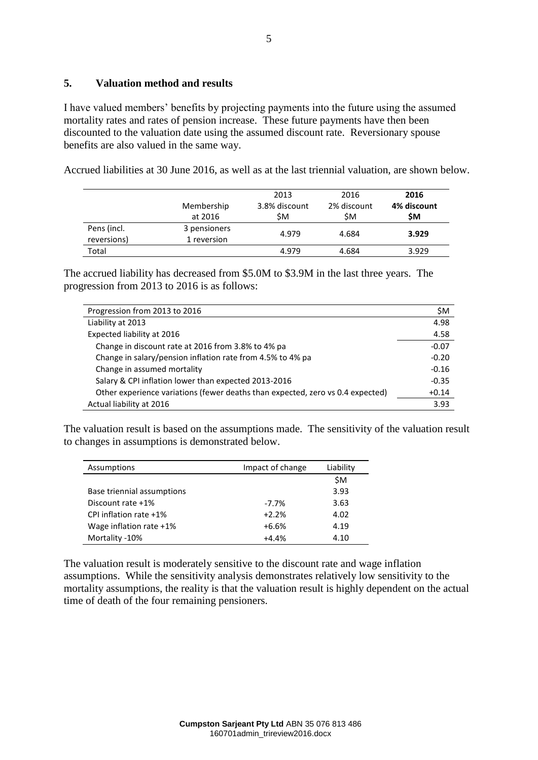### **5. Valuation method and results**

I have valued members' benefits by projecting payments into the future using the assumed mortality rates and rates of pension increase. These future payments have then been discounted to the valuation date using the assumed discount rate. Reversionary spouse benefits are also valued in the same way.

Accrued liabilities at 30 June 2016, as well as at the last triennial valuation, are shown below.

|                            | Membership<br>at 2016       | 2013<br>3.8% discount<br>\$Μ | 2016<br>2% discount<br>ŚΜ. | 2016<br>4% discount<br>\$Μ |
|----------------------------|-----------------------------|------------------------------|----------------------------|----------------------------|
| Pens (incl.<br>reversions) | 3 pensioners<br>1 reversion | 4.979                        | 4.684                      | 3.929                      |
| Total                      |                             | 4.979                        | 4.684                      | 3.929                      |

The accrued liability has decreased from \$5.0M to \$3.9M in the last three years. The progression from 2013 to 2016 is as follows:

| Progression from 2013 to 2016                                                  | \$M     |
|--------------------------------------------------------------------------------|---------|
| Liability at 2013                                                              | 4.98    |
| Expected liability at 2016                                                     | 4.58    |
| Change in discount rate at 2016 from 3.8% to 4% pa                             | $-0.07$ |
| Change in salary/pension inflation rate from 4.5% to 4% pa                     | $-0.20$ |
| Change in assumed mortality                                                    | $-0.16$ |
| Salary & CPI inflation lower than expected 2013-2016                           | $-0.35$ |
| Other experience variations (fewer deaths than expected, zero vs 0.4 expected) | $+0.14$ |
| Actual liability at 2016                                                       | 3.93    |

The valuation result is based on the assumptions made. The sensitivity of the valuation result to changes in assumptions is demonstrated below.

| Assumptions                | Impact of change | Liability |
|----------------------------|------------------|-----------|
|                            |                  | \$Μ       |
| Base triennial assumptions |                  | 3.93      |
| Discount rate +1%          | $-7.7\%$         | 3.63      |
| CPI inflation rate +1%     | $+2.2%$          | 4.02      |
| Wage inflation rate +1%    | $+6.6%$          | 4.19      |
| Mortality -10%             | $+4.4%$          | 4.10      |

The valuation result is moderately sensitive to the discount rate and wage inflation assumptions. While the sensitivity analysis demonstrates relatively low sensitivity to the mortality assumptions, the reality is that the valuation result is highly dependent on the actual time of death of the four remaining pensioners.